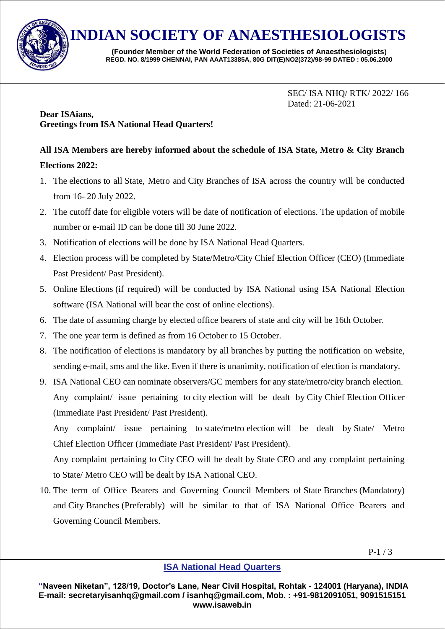

**INDIAN SOCIETY OF ANAESTHESIOLOGISTS**

**(Founder Member of the World Federation of Societies of Anaesthesiologists) REGD. NO. 8/1999 CHENNAI, PAN AAAT13385A, 80G DIT(E)NO2(372)/98-99 DATED : 05.06.2000**

> SEC/ ISA NHQ/ RTK/ 2022/ 166 Dated: 21-06-2021

#### **Dear ISAians, Greetings from ISA National Head Quarters!**

# **All ISA Members are hereby informed about the schedule of ISA State, Metro & City Branch Elections 2022:**

- 1. The elections to all State, Metro and City Branches of ISA across the country will be conducted from 16- 20 July 2022.
- 2. The cutoff date for eligible voters will be date of notification of elections. The updation of mobile number or e-mail ID can be done till 30 June 2022.
- 3. Notification of elections will be done by ISA National Head Quarters.
- 4. Election process will be completed by State/Metro/City Chief Election Officer (CEO) (Immediate Past President/ Past President).
- 5. Online Elections (if required) will be conducted by ISA National using ISA National Election software (ISA National will bear the cost of online elections).
- 6. The date of assuming charge by elected office bearers of state and city will be 16th October.
- 7. The one year term is defined as from 16 October to 15 October.
- 8. The notification of elections is mandatory by all branches by putting the notification on website, sending e-mail, sms and the like. Even if there is unanimity, notification of election is mandatory.
- 9. ISA National CEO can nominate observers/GC members for any state/metro/city branch election. Any complaint/ issue pertaining to city election will be dealt by City Chief Election Officer (Immediate Past President/ Past President).

Any complaint/ issue pertaining to state/metro election will be dealt by State/ Metro Chief Election Officer (Immediate Past President/ Past President).

Any complaint pertaining to City CEO will be dealt by State CEO and any complaint pertaining to State/ Metro CEO will be dealt by ISA National CEO.

10. The term of Office Bearers and Governing Council Members of State Branches (Mandatory) and City Branches (Preferably) will be similar to that of ISA National Office Bearers and Governing Council Members.

### **ISA National Head Quarters**

**"Naveen Niketan", 128/19, Doctor's Lane, Near Civil Hospital, Rohtak - 124001 (Haryana), INDIA E-mail: secretaryisanhq@gmail.com / isanhq@gmail.com, Mob. : +91-9812091051, 9091515151 www.isaweb.in**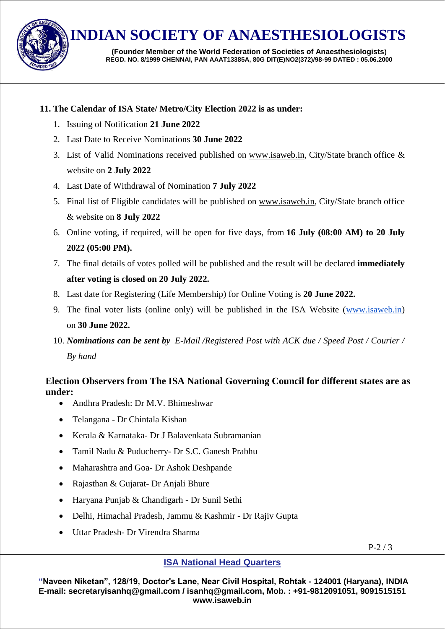

**INDIAN SOCIETY OF ANAESTHESIOLOGISTS**

**(Founder Member of the World Federation of Societies of Anaesthesiologists) REGD. NO. 8/1999 CHENNAI, PAN AAAT13385A, 80G DIT(E)NO2(372)/98-99 DATED : 05.06.2000**

#### **11. The Calendar of ISA State/ Metro/City Election 2022 is as under:**

- 1. Issuing of Notification **21 June 2022**
- 2. Last Date to Receive Nominations **30 June 2022**
- 3. List of Valid Nominations received published on [www.isaweb.in,](http://www.isaweb.in/) City/State branch office & website on **2 July 2022**
- 4. Last Date of Withdrawal of Nomination **7 July 2022**
- 5. Final list of Eligible candidates will be published on [www.isaweb.in,](http://www.isaweb.in/) City/State branch office & website on **8 July 2022**
- 6. Online voting, if required, will be open for five days, from **16 July (08:00 AM) to 20 July 2022 (05:00 PM).**
- 7. The final details of votes polled will be published and the result will be declared **immediately after voting is closed on 20 July 2022.**
- 8. Last date for Registering (Life Membership) for Online Voting is **20 June 2022.**
- 9. The final voter lists (online only) will be published in the ISA Website [\(www.isaweb.in\)](http://www.isaweb.in/) on **30 June 2022.**
- 10. *Nominations can be sent by E-Mail /Registered Post with ACK due / Speed Post / Courier / By hand*

## **Election Observers from The ISA National Governing Council for different states are as under:**

- Andhra Pradesh: Dr M.V. Bhimeshwar
- Telangana Dr Chintala Kishan
- Kerala & Karnataka- Dr J Balavenkata Subramanian
- Tamil Nadu & Puducherry- Dr S.C. Ganesh Prabhu
- Maharashtra and Goa- Dr Ashok Deshpande
- Rajasthan & Gujarat- Dr Anjali Bhure
- Haryana Punjab & Chandigarh Dr Sunil Sethi
- Delhi, Himachal Pradesh, Jammu & Kashmir Dr Rajiv Gupta
- Uttar Pradesh- Dr Virendra Sharma

 $P-2/3$ 

### **ISA National Head Quarters**

**"Naveen Niketan", 128/19, Doctor's Lane, Near Civil Hospital, Rohtak - 124001 (Haryana), INDIA E-mail: secretaryisanhq@gmail.com / isanhq@gmail.com, Mob. : +91-9812091051, 9091515151 www.isaweb.in**